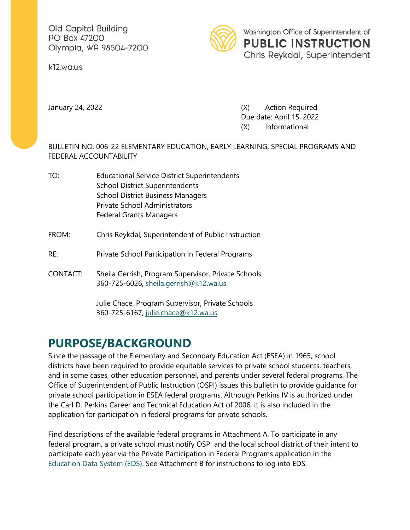Old Capitol Building PO Box 47200 Olympia, WA 98504-7200

k12.wa.us



January 24, 2022 (X) Action Required Due date: April 15, 2022 (X) Informational

BULLETIN NO. 006-22 ELEMENTARY EDUCATION, EARLY LEARNING, SPECIAL PROGRAMS AND FEDERAL ACCOUNTABILITY

- TO: Educational Service District Superintendents School District Superintendents School District Business Managers Private School Administrators Federal Grants Managers
- FROM: Chris Reykdal, Superintendent of Public Instruction
- RE: Private School Participation in Federal Programs
- CONTACT: Sheila Gerrish, Program Supervisor, Private Schools 360-725-6026, [sheila.gerrish@k12.wa.us](mailto:sheila.gerrish@k12.wa.us)

Julie Chace, Program Supervisor, Private Schools 360-725-6167, [julie.chace@k12.wa.us](mailto:julie.chace@k12.wa.us)

## **PURPOSE/BACKGROUND**

Since the passage of the Elementary and Secondary Education Act (ESEA) in 1965, school districts have been required to provide equitable services to private school students, teachers, and in some cases, other education personnel, and parents under several federal programs. The Office of Superintendent of Public Instruction (OSPI) issues this bulletin to provide guidance for private school participation in ESEA federal programs. Although Perkins IV is authorized under the Carl D. Perkins Career and Technical Education Act of 2006, it is also included in the application for participation in federal programs for private schools.

Find descriptions of the available federal programs in Attachment A. To participate in any federal program, a private school must notify OSPI and the local school district of their intent to participate each year via the Private Participation in Federal Programs application in the [Education Data System \(EDS\).](https://eds.ospi.k12.wa.us/) See Attachment B for instructions to log into EDS.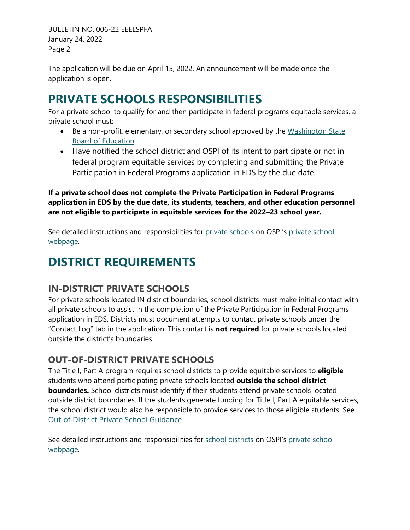BULLETIN NO. 006-22 EEELSPFA January 24, 2022 Page 2

The application will be due on April 15, 2022. An announcement will be made once the application is open.

## **PRIVATE SCHOOLS RESPONSIBILITIES**

For a private school to qualify for and then participate in federal programs equitable services, a private school must:

- Be a non-profit, elementary, or secondary school approved by the Washington State [Board of Education.](http://www.sbe.wa.gov/our-work/private-schools)
- Have notified the school district and OSPI of its intent to participate or not in federal program equitable services by completing and submitting the Private Participation in Federal Programs application in EDS by the due date.

**If a private school does not complete the Private Participation in Federal Programs application in EDS by the due date, its students, teachers, and other education personnel are not eligible to participate in equitable services for the 2022–23 school year.**

See detailed instructions and responsibilities for [private schools](https://www.k12.wa.us/sites/default/files/public/esea/privateschools/pubdocs/Private%20School%20Instructions%2012.20.pdf) on OSPI's private school [webpage.](http://www.k12.wa.us/ESEA/PrivateSchools.aspx)

# **DISTRICT REQUIREMENTS**

#### **IN-DISTRICT PRIVATE SCHOOLS**

For private schools located IN district boundaries, school districts must make initial contact with all private schools to assist in the completion of the Private Participation in Federal Programs application in EDS. Districts must document attempts to contact private schools under the "Contact Log" tab in the application. This contact is **not required** for private schools located outside the district's boundaries.

#### **OUT-OF-DISTRICT PRIVATE SCHOOLS**

The Title I, Part A program requires school districts to provide equitable services to **eligible** students who attend participating private schools located **outside the school district boundaries.** School districts must identify if their students attend private schools located outside district boundaries. If the students generate funding for Title I, Part A equitable services, the school district would also be responsible to provide services to those eligible students. See [Out-of-District Private School Guidance.](https://www.k12.wa.us/sites/default/files/public/esea/privateschools/pubdocs/OutofDistrictEquitableServicesGuidelines1.21.pdf)

See detailed instructions and responsibilities for [school districts](https://www.k12.wa.us/sites/default/files/public/esea/privateschools/pubdocs/District%20Directions%201.21.pdf) on OSPI's [private school](http://www.k12.wa.us/ESEA/PrivateSchools.aspx)  [webpage.](http://www.k12.wa.us/ESEA/PrivateSchools.aspx)